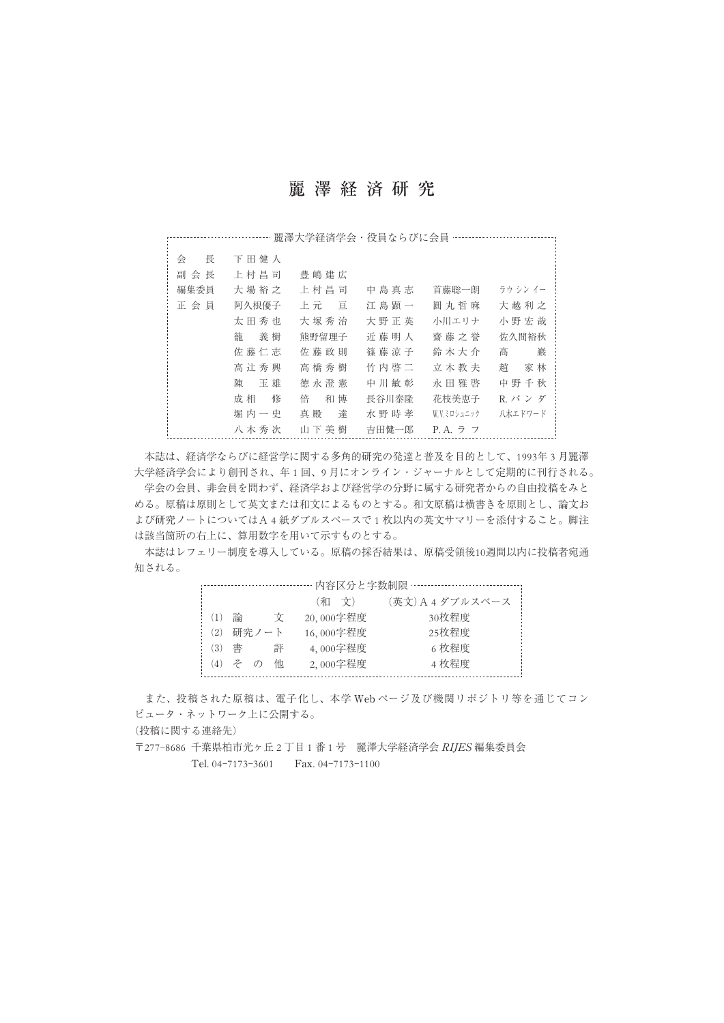## 麗澤経済研究

|        |         |         |       | 麗澤大学経済学会・役員ならびに会員 ………… |          |
|--------|---------|---------|-------|------------------------|----------|
|        |         |         |       |                        |          |
| 長<br>会 | 下田健人    |         |       |                        |          |
| 副 会 長  | 上村昌司    | 豊嶋建広    |       |                        |          |
| 編集委員   | 大場裕之    | 上村昌司    | 中島真志  | 首藤聡一朗                  | ラウ シン イー |
| 正会員    | 阿久根優子   | 上元 亘    | 江島顕一  | 圓丸哲麻                   | 大越利之     |
|        | 太田秀也    | 大塚秀治    | 大野正英  | 小川エリナ                  | 小野宏哉     |
|        | 籠<br>義樹 | 熊野留理子   | 近藤明人  | 齋藤之誉                   | 佐久間裕秋    |
|        | 佐藤仁志    | 佐 藤 政 則 | 篠藤涼子  | 鈴 木 大 介                | 巖<br>髙   |
|        | 高辻秀興    | 高橋秀樹    | 竹内啓二  | 立木教夫                   | 趙<br>家林  |
|        | 陳<br>玉雄 | 徳永澄憲    | 中川敏彰  | 永田雅啓                   | 中野千秋     |
|        | 修<br>成相 | 倍<br>和博 | 長谷川泰隆 | 花枝美恵子                  | R. パンダ   |
|        | 堀内一史    | 達<br>真殿 | 水野時孝  | W.V.ミロシュニック            | 八木エドワード  |
|        | 八木秀次    | 山下美樹    | 吉田健一郎 | P.A. ラ フ               |          |

本誌は、経済学ならびに経営学に関する多角的研究の発達と普及を目的として、1993年 3 月麗澤 大学経済学会により創刊され、年 1 回、9 月にオンライン・ジャーナルとして定期的に刊行される。 学会の会員、非会員を問わず、経済学および経営学の分野に属する研究者からの自由投稿をみと める。原稿は原則として英文または和文によるものとする。和文原稿は横書きを原則とし、論文お よび研究ノートについてはA 4 紙ダブルスペースで 1 枚以内の英文サマリーを添付すること。脚注 は該当箇所の右上に、算用数字を用いて示すものとする。

本誌はレフェリー制度を導入している。原稿の採否結果は、原稿受領後10週間以内に投稿者宛通 知される。

| 内容区分と字数制限一 |              |       |   |           |                  |  |
|------------|--------------|-------|---|-----------|------------------|--|
|            |              |       |   | (和 文)     | (英文) A 4 ダブルスペース |  |
| (1)        | 論            |       | 文 | 20,000字程度 | 30枚程度            |  |
| (2)        |              | 研究ノート |   | 16,000字程度 | 25枚程度            |  |
| (3)        | 書            |       | 評 | 4,000字程度  | 6 枚程度            |  |
| (4)        | $\ddot{z}$ o |       | 他 | 2,000字程度  | 4 枚程度            |  |
|            |              |       |   |           |                  |  |

また、投稿された原稿は、電子化し、本学 Web ページ及び機関リポジトリ等を通じてコン ピュータ・ネットワーク上に公開する。

(投稿に関する連絡先)

〒277-8686 千葉県柏市光ヶ丘 2 丁目 1 番 1 号 麗澤大学経済学会 RIJES 編集委員会 Tel. 04-7173-3601 Fax. 04-7173-1100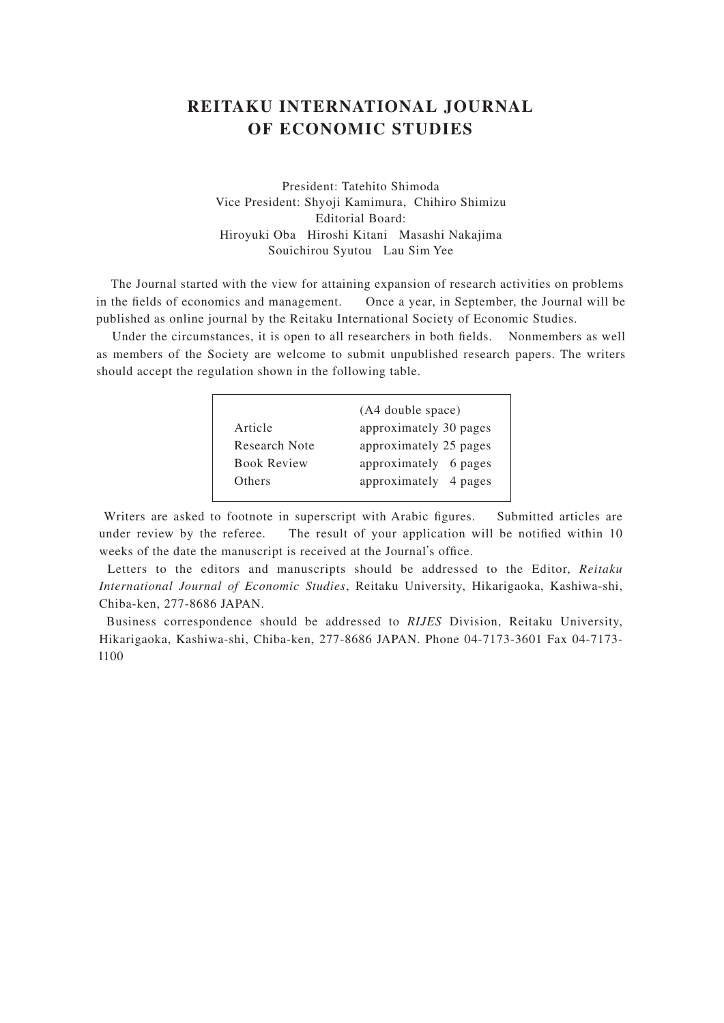## **REITAKU INTERNATIONAL JOURNAL OF ECONOMIC STUDIES**

President: Tatehito Shimoda Vice President: Shyoji Kamimura, Chihiro Shimizu Editorial Board: Hiroyuki Oba Hiroshi Kitani Masashi Nakajima Souichirou Syutou Lau Sim Yee

 The Journal started with the view for attaining expansion of research activities on problems in the fields of economics and management. Once a year, in September, the Journal will be published as online journal by the Reitaku International Society of Economic Studies.

 Under the circumstances, it is open to all researchers in both fields. Nonmembers as well as members of the Society are welcome to submit unpublished research papers. The writers should accept the regulation shown in the following table.

|                    | (A4 double space)      |  |  |
|--------------------|------------------------|--|--|
| Article            | approximately 30 pages |  |  |
| Research Note      | approximately 25 pages |  |  |
| <b>Book Review</b> | approximately 6 pages  |  |  |
| Others             | approximately 4 pages  |  |  |
|                    |                        |  |  |

 Writers are asked to footnote in superscript with Arabic figures. Submitted articles are under review by the referee. The result of your application will be notified within 10 weeks of the date the manuscript is received at the Journal's office.

 Letters to the editors and manuscripts should be addressed to the Editor, *Reitaku International Journal of Economic Studies*, Reitaku University, Hikarigaoka, Kashiwa-shi, Chiba-ken, 277-8686 JAPAN.

 Business correspondence should be addressed to *RIJES* Division, Reitaku University, Hikarigaoka, Kashiwa-shi, Chiba-ken, 277-8686 JAPAN. Phone 04-7173-3601 Fax 04-7173 l100